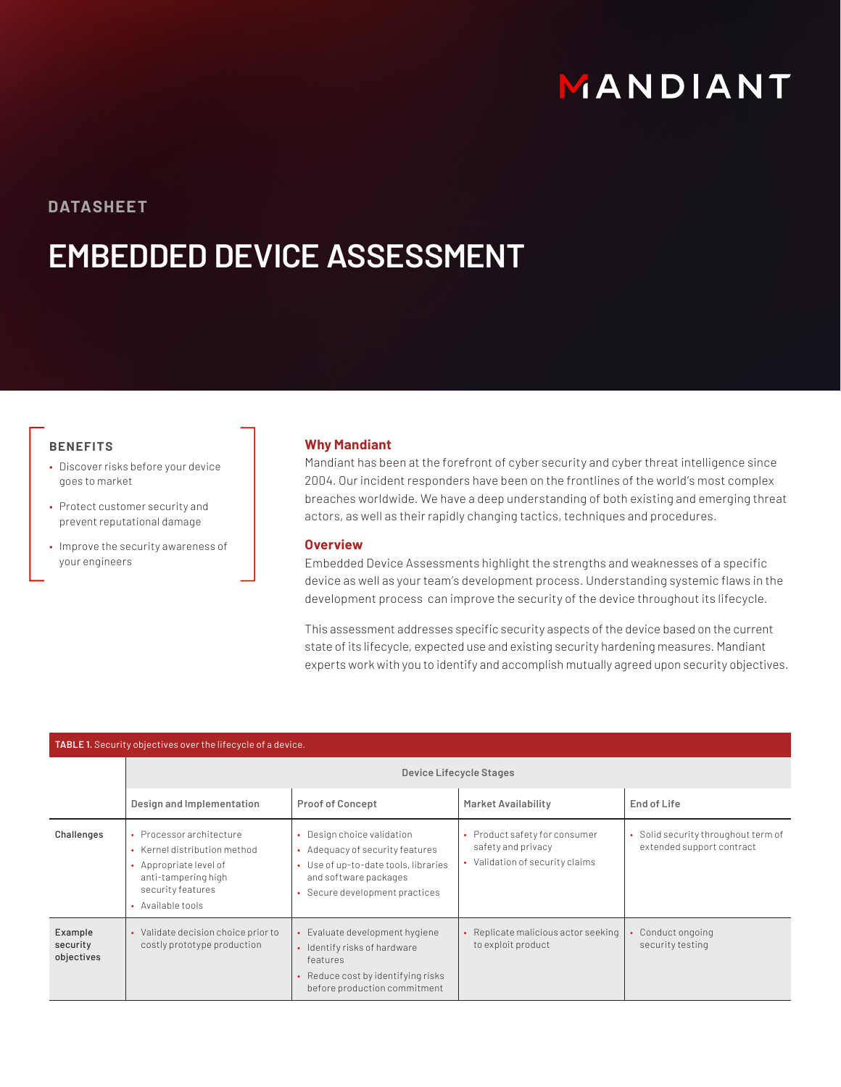# MANDIANT

**DATASHEET**

## **EMBEDDED DEVICE ASSESSMENT**

### **BENEFITS**

- Discover risks before your device goes to market
- Protect customer security and prevent reputational damage
- Improve the security awareness of your engineers

#### **Why Mandiant**

Mandiant has been at the forefront of cyber security and cyber threat intelligence since 2004. Our incident responders have been on the frontlines of the world's most complex breaches worldwide. We have a deep understanding of both existing and emerging threat actors, as well as their rapidly changing tactics, techniques and procedures.

#### **Overview**

Embedded Device Assessments highlight the strengths and weaknesses of a specific device as well as your team's development process. Understanding systemic flaws in the development process can improve the security of the device throughout its lifecycle.

This assessment addresses specific security aspects of the device based on the current state of its lifecycle, expected use and existing security hardening measures. Mandiant experts work with you to identify and accomplish mutually agreed upon security objectives.

| TABLE 1. Security objectives over the lifecycle of a device. |                                                                                                                                                     |                                                                                                                                                                |                                                                                        |                                                                  |
|--------------------------------------------------------------|-----------------------------------------------------------------------------------------------------------------------------------------------------|----------------------------------------------------------------------------------------------------------------------------------------------------------------|----------------------------------------------------------------------------------------|------------------------------------------------------------------|
|                                                              | Device Lifecycle Stages                                                                                                                             |                                                                                                                                                                |                                                                                        |                                                                  |
|                                                              | Design and Implementation                                                                                                                           | <b>Proof of Concept</b>                                                                                                                                        | <b>Market Availability</b>                                                             | End of Life                                                      |
| Challenges                                                   | • Processor architecture<br>• Kernel distribution method<br>• Appropriate level of<br>anti-tampering high<br>security features<br>• Available tools | • Design choice validation<br>• Adequacy of security features<br>• Use of up-to-date tools, libraries<br>and software packages<br>Secure development practices | • Product safety for consumer<br>safety and privacy<br>• Validation of security claims | • Solid security throughout term of<br>extended support contract |
| Example<br>security<br>objectives                            | • Validate decision choice prior to<br>costly prototype production                                                                                  | • Evaluate development hygiene<br>• Identify risks of hardware<br>features<br>• Reduce cost by identifying risks<br>before production commitment               | • Replicate malicious actor seeking<br>to exploit product                              | Conduct ongoing<br>security testing                              |